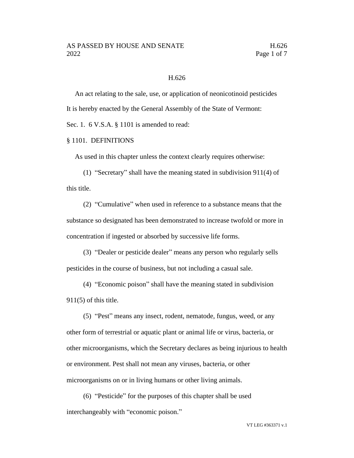#### H.626

An act relating to the sale, use, or application of neonicotinoid pesticides It is hereby enacted by the General Assembly of the State of Vermont: Sec. 1. 6 V.S.A. § 1101 is amended to read:

#### § 1101. DEFINITIONS

As used in this chapter unless the context clearly requires otherwise:

(1) "Secretary" shall have the meaning stated in subdivision 911(4) of this title.

(2) "Cumulative" when used in reference to a substance means that the substance so designated has been demonstrated to increase twofold or more in concentration if ingested or absorbed by successive life forms.

(3) "Dealer or pesticide dealer" means any person who regularly sells pesticides in the course of business, but not including a casual sale.

(4) "Economic poison" shall have the meaning stated in subdivision 911(5) of this title.

(5) "Pest" means any insect, rodent, nematode, fungus, weed, or any other form of terrestrial or aquatic plant or animal life or virus, bacteria, or other microorganisms, which the Secretary declares as being injurious to health or environment. Pest shall not mean any viruses, bacteria, or other microorganisms on or in living humans or other living animals.

(6) "Pesticide" for the purposes of this chapter shall be used interchangeably with "economic poison."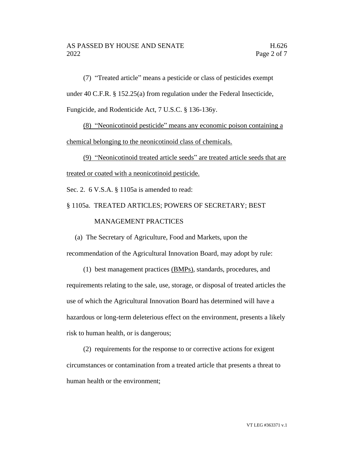(7) "Treated article" means a pesticide or class of pesticides exempt under 40 C.F.R. § 152.25(a) from regulation under the Federal Insecticide, Fungicide, and Rodenticide Act, 7 U.S.C. § 136-136y.

(8) "Neonicotinoid pesticide" means any economic poison containing a chemical belonging to the neonicotinoid class of chemicals.

(9) "Neonicotinoid treated article seeds" are treated article seeds that are treated or coated with a neonicotinoid pesticide.

Sec. 2. 6 V.S.A. § 1105a is amended to read:

§ 1105a. TREATED ARTICLES; POWERS OF SECRETARY; BEST

#### MANAGEMENT PRACTICES

(a) The Secretary of Agriculture, Food and Markets, upon the recommendation of the Agricultural Innovation Board, may adopt by rule:

(1) best management practices (BMPs), standards, procedures, and requirements relating to the sale, use, storage, or disposal of treated articles the use of which the Agricultural Innovation Board has determined will have a hazardous or long-term deleterious effect on the environment, presents a likely risk to human health, or is dangerous;

(2) requirements for the response to or corrective actions for exigent circumstances or contamination from a treated article that presents a threat to human health or the environment;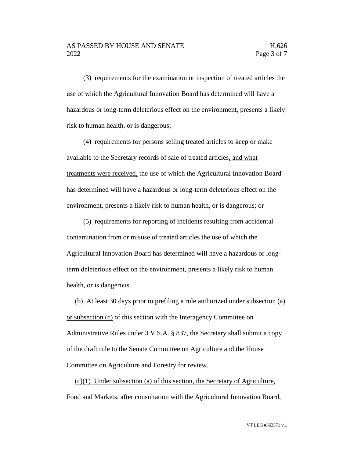#### AS PASSED BY HOUSE AND SENATE FOR THE H.626 2022 **Page 3 of 7**

(3) requirements for the examination or inspection of treated articles the use of which the Agricultural Innovation Board has determined will have a hazardous or long-term deleterious effect on the environment, presents a likely risk to human health, or is dangerous;

(4) requirements for persons selling treated articles to keep or make available to the Secretary records of sale of treated articles, and what treatments were received, the use of which the Agricultural Innovation Board has determined will have a hazardous or long-term deleterious effect on the environment, presents a likely risk to human health, or is dangerous; or

(5) requirements for reporting of incidents resulting from accidental contamination from or misuse of treated articles the use of which the Agricultural Innovation Board has determined will have a hazardous or longterm deleterious effect on the environment, presents a likely risk to human health, or is dangerous.

(b) At least 30 days prior to prefiling a rule authorized under subsection (a) or subsection (c) of this section with the Interagency Committee on Administrative Rules under 3 V.S.A. § 837, the Secretary shall submit a copy of the draft rule to the Senate Committee on Agriculture and the House Committee on Agriculture and Forestry for review.

(c)(1) Under subsection (a) of this section, the Secretary of Agriculture, Food and Markets, after consultation with the Agricultural Innovation Board,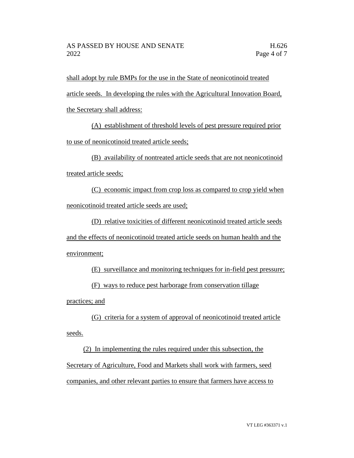shall adopt by rule BMPs for the use in the State of neonicotinoid treated article seeds. In developing the rules with the Agricultural Innovation Board, the Secretary shall address:

(A) establishment of threshold levels of pest pressure required prior to use of neonicotinoid treated article seeds;

(B) availability of nontreated article seeds that are not neonicotinoid treated article seeds;

(C) economic impact from crop loss as compared to crop yield when neonicotinoid treated article seeds are used;

(D) relative toxicities of different neonicotinoid treated article seeds and the effects of neonicotinoid treated article seeds on human health and the environment;

(E) surveillance and monitoring techniques for in-field pest pressure;

(F) ways to reduce pest harborage from conservation tillage

practices; and

(G) criteria for a system of approval of neonicotinoid treated article seeds.

(2) In implementing the rules required under this subsection, the Secretary of Agriculture, Food and Markets shall work with farmers, seed companies, and other relevant parties to ensure that farmers have access to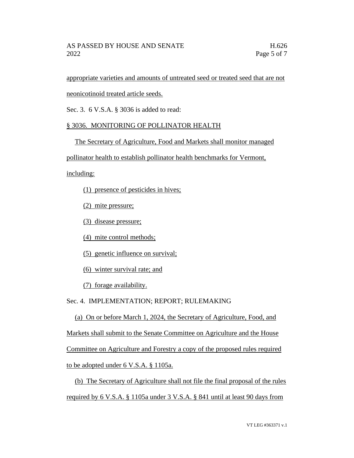## AS PASSED BY HOUSE AND SENATE FOR THE H.626 2022 **Page 5 of 7**

appropriate varieties and amounts of untreated seed or treated seed that are not

neonicotinoid treated article seeds.

Sec. 3. 6 V.S.A. § 3036 is added to read:

# § 3036. MONITORING OF POLLINATOR HEALTH

The Secretary of Agriculture, Food and Markets shall monitor managed

pollinator health to establish pollinator health benchmarks for Vermont,

including:

- (1) presence of pesticides in hives;
- (2) mite pressure;
- (3) disease pressure;
- (4) mite control methods;
- (5) genetic influence on survival;
- (6) winter survival rate; and
- (7) forage availability.

## Sec. 4. IMPLEMENTATION; REPORT; RULEMAKING

(a) On or before March 1, 2024, the Secretary of Agriculture, Food, and Markets shall submit to the Senate Committee on Agriculture and the House Committee on Agriculture and Forestry a copy of the proposed rules required to be adopted under 6 V.S.A. § 1105a.

(b) The Secretary of Agriculture shall not file the final proposal of the rules required by 6 V.S.A. § 1105a under 3 V.S.A. § 841 until at least 90 days from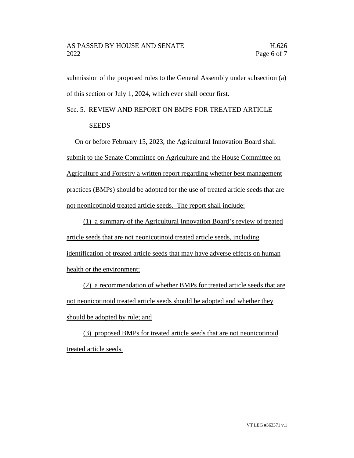submission of the proposed rules to the General Assembly under subsection (a) of this section or July 1, 2024, which ever shall occur first.

Sec. 5. REVIEW AND REPORT ON BMPS FOR TREATED ARTICLE **SEEDS** 

On or before February 15, 2023, the Agricultural Innovation Board shall submit to the Senate Committee on Agriculture and the House Committee on Agriculture and Forestry a written report regarding whether best management practices (BMPs) should be adopted for the use of treated article seeds that are not neonicotinoid treated article seeds. The report shall include:

(1) a summary of the Agricultural Innovation Board's review of treated article seeds that are not neonicotinoid treated article seeds, including identification of treated article seeds that may have adverse effects on human health or the environment;

(2) a recommendation of whether BMPs for treated article seeds that are not neonicotinoid treated article seeds should be adopted and whether they should be adopted by rule; and

(3) proposed BMPs for treated article seeds that are not neonicotinoid treated article seeds.